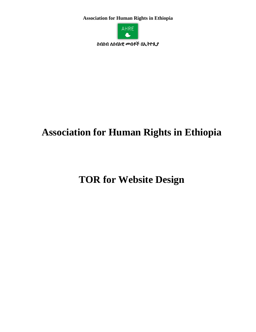**Association for Human Rights in Ethiopia** 



ስብስብ ለሰብአዊ ሙብቶች በኢትዮጲያ

# **Association for Human Rights in Ethiopia**

**TOR for Website Design**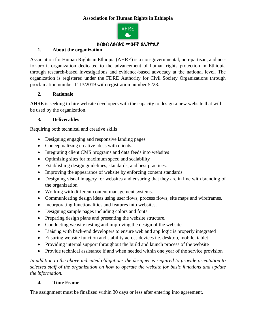## **Association for Human Rights in Ethiopia**



#### ስብስብ ለሰብአዊ መብቶች በኢትዮጲያ

#### **1. About the organization**

Association for Human Rights in Ethiopia (AHRE) is a non-governmental, non-partisan, and notfor-profit organization dedicated to the advancement of human rights protection in Ethiopia through research-based investigations and evidence-based advocacy at the national level. The organization is registered under the FDRE Authority for Civil Society Organizations through proclamation number 1113/2019 with registration number 5223.

#### **2. Rationale**

AHRE is seeking to hire website developers with the capacity to design a new website that will be used by the organization.

#### **3. Deliverables**

Requiring both technical and creative skills

- Designing engaging and responsive landing pages
- Conceptualizing creative ideas with clients.
- Integrating client CMS programs and data feeds into websites
- Optimizing sites for maximum speed and scalability
- Establishing design guidelines, standards, and best practices.
- Improving the appearance of website by enforcing content standards.
- Designing visual imagery for websites and ensuring that they are in line with branding of the organization
- Working with different content management systems.
- Communicating design ideas using user flows, process flows, site maps and wireframes.
- Incorporating functionalities and features into websites.
- Designing sample pages including colors and fonts.
- Preparing design plans and presenting the website structure.
- Conducting website testing and improving the design of the website.
- Liaising with back-end developers to ensure web and app logic is properly integrated
- Ensuring website function and stability across devices i.e. desktop, mobile, tablet
- Providing internal support throughout the build and launch process of the website
- Provide technical assistance if and when needed within one year of the service provision

*In addition to the above indicated obligations the designer is required to provide orientation to selected staff of the organization on how to operate the website for basic functions and update the information.* 

#### **4. Time Frame**

The assignment must be finalized within 30 days or less after entering into agreement.